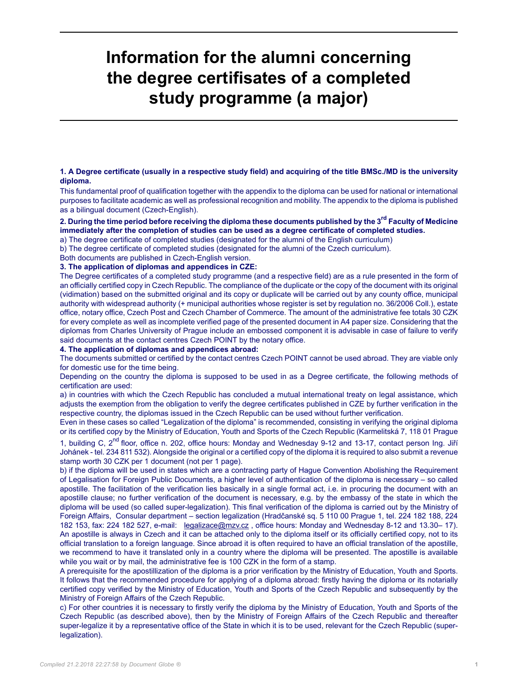# **Information for the alumni concerning the degree certifisates of a completed study programme (a major)**

#### **1. A Degree certificate (usually in a respective study field) and acquiring of the title BMSc./MD is the university diploma.**

This fundamental proof of qualification together with the appendix to the diploma can be used for national or international purposes to facilitate academic as well as professional recognition and mobility. The appendix to the diploma is published as a bilingual document (Czech-English).

### **2. During the time period before receiving the diploma these documents published by the 3rd Faculty of Medicine immediately after the completion of studies can be used as a degree certificate of completed studies.**

a) The degree certificate of completed studies (designated for the alumni of the English curriculum)

b) The degree certificate of completed studies (designated for the alumni of the Czech curriculum).

Both documents are published in Czech-English version.

# **3. The application of diplomas and appendices in CZE:**

The Degree certificates of a completed study programme (and a respective field) are as a rule presented in the form of an officially certified copy in Czech Republic. The compliance of the duplicate or the copy of the document with its original (vidimation) based on the submitted original and its copy or duplicate will be carried out by any county office, municipal authority with widespread authority (+ municipal authorities whose register is set by regulation no. 36/2006 Coll.), estate office, notary office, Czech Post and Czech Chamber of Commerce. The amount of the administrative fee totals 30 CZK for every complete as well as incomplete verified page of the presented document in A4 paper size. Considering that the diplomas from Charles University of Prague include an embossed component it is advisable in case of failure to verify said documents at the contact centres Czech POINT by the notary office.

**4. The application of diplomas and appendices abroad:**

The documents submitted or certified by the contact centres Czech POINT cannot be used abroad. They are viable only for domestic use for the time being.

Depending on the country the diploma is supposed to be used in as a Degree certificate, the following methods of certification are used:

a) in countries with which the Czech Republic has concluded a mutual international treaty on legal assistance, which adjusts the exemption from the obligation to verify the degree certificates published in CZE by further verification in the respective country, the diplomas issued in the Czech Republic can be used without further verification.

Even in these cases so called "Legalization of the diploma" is recommended, consisting in verifying the original diploma or its certified copy by the Ministry of Education, Youth and Sports of the Czech Republic (Karmelitská 7, 118 01 Prague

1, building C, 2<sup>nd</sup> floor, office n. 202, office hours: Monday and Wednesday 9-12 and 13-17, contact person Ing. Jiří Johánek - tel. 234 811 532). Alongside the original or a certified copy of the diploma it is required to also submit a revenue stamp worth 30 CZK per 1 document (not per 1 page).

b) if the diploma will be used in states which are a contracting party of Hague Convention Abolishing the Requirement of Legalisation for Foreign Public Documents, a higher level of authentication of the diploma is necessary – so called apostille. The facilitation of the verification lies basically in a single formal act, i.e. in procuring the document with an apostille clause; no further verification of the document is necessary, e.g. by the embassy of the state in which the diploma will be used (so called super-legalization). This final verification of the diploma is carried out by the Ministry of Foreign Affairs, Consular department – section legalization (Hradčanské sq. 5 110 00 Prague 1, tel. 224 182 188, 224 182 153, fax: 224 182 527, e-mail: [legalizace@mzv.cz](mailto:legalizace@mzv.cz), office hours: Monday and Wednesday 8-12 and 13.30– 17). An apostille is always in Czech and it can be attached only to the diploma itself or its officially certified copy, not to its official translation to a foreign language. Since abroad it is often required to have an official translation of the apostille, we recommend to have it translated only in a country where the diploma will be presented. The apostille is available while you wait or by mail, the administrative fee is 100 CZK in the form of a stamp.

A prerequisite for the apostillization of the diploma is a prior verification by the Ministry of Education, Youth and Sports. It follows that the recommended procedure for applying of a diploma abroad: firstly having the diploma or its notarially certified copy verified by the Ministry of Education, Youth and Sports of the Czech Republic and subsequently by the Ministry of Foreign Affairs of the Czech Republic.

c) For other countries it is necessary to firstly verify the diploma by the Ministry of Education, Youth and Sports of the Czech Republic (as described above), then by the Ministry of Foreign Affairs of the Czech Republic and thereafter super-legalize it by a representative office of the State in which it is to be used, relevant for the Czech Republic (superlegalization).